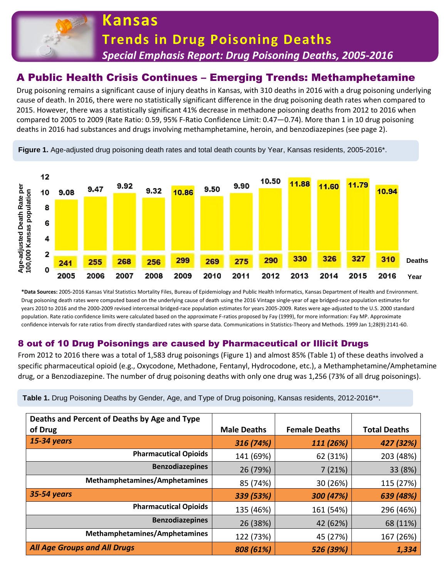

## A Public Health Crisis Continues – Emerging Trends: Methamphetamine

Drug poisoning remains a significant cause of injury deaths in Kansas, with 310 deaths in 2016 with a drug poisoning underlying cause of death. In 2016, there were no statistically significant difference in the drug poisoning death rates when compared to 2015. However, there was a statistically significant 41% decrease in methadone poisoning deaths from 2012 to 2016 when compared to 2005 to 2009 (Rate Ratio: 0.59, 95% F-Ratio Confidence Limit: 0.47—0.74). More than 1 in 10 drug poisoning deaths in 2016 had substances and drugs involving methamphetamine, heroin, and benzodiazepines (see page 2).



**Figure 1.** Age-adjusted drug poisoning death rates and total death counts by Year, Kansas residents, 2005-2016\*.

**\*Data Sources:** 2005-2016 Kansas Vital Statistics Mortality Files, Bureau of Epidemiology and Public Health Informatics, Kansas Department of Health and Environment. Drug poisoning death rates were computed based on the underlying cause of death using the 2016 Vintage single-year of age bridged-race population estimates for years 2010 to 2016 and the 2000-2009 revised intercensal bridged-race population estimates for years 2005-2009. Rates were age-adjusted to the U.S. 2000 standard population. Rate ratio confidence limits were calculated based on the approximate F-ratios proposed by Fay (1999), for more information: Fay MP. Approximate confidence intervals for rate ratios from directly standardized rates with sparse data. Communications in Statistics-Theory and Methods. 1999 Jan 1;28(9):2141-60.

## 8 out of 10 Drug Poisonings are caused by Pharmaceutical or Illicit Drugs

From 2012 to 2016 there was a total of 1,583 drug poisonings (Figure 1) and almost 85% (Table 1) of these deaths involved a specific pharmaceutical opioid (e.g., Oxycodone, Methadone, Fentanyl, Hydrocodone, etc.), a Methamphetamine/Amphetamine drug, or a Benzodiazepine. The number of drug poisoning deaths with only one drug was 1,256 (73% of all drug poisonings).

**Table 1.** Drug Poisoning Deaths by Gender, Age, and Type of Drug poisoning, Kansas residents, 2012-2016\*\*.

| Deaths and Percent of Deaths by Age and Type |                    |                      |                     |
|----------------------------------------------|--------------------|----------------------|---------------------|
| of Drug                                      | <b>Male Deaths</b> | <b>Female Deaths</b> | <b>Total Deaths</b> |
| <b>15-34 years</b>                           | 316 (74%)          | 111 (26%)            | 427 (32%)           |
| <b>Pharmacutical Opioids</b>                 | 141 (69%)          | 62 (31%)             | 203 (48%)           |
| <b>Benzodiazepines</b>                       | 26 (79%)           | 7(21%)               | 33 (8%)             |
| Methamphetamines/Amphetamines                | 85 (74%)           | 30 (26%)             | 115 (27%)           |
| <b>35-54 years</b>                           | 339 (53%)          | 300 (47%)            | 639 (48%)           |
| <b>Pharmacutical Opioids</b>                 | 135 (46%)          | 161 (54%)            | 296 (46%)           |
| <b>Benzodiazepines</b>                       | 26 (38%)           | 42 (62%)             | 68 (11%)            |
| Methamphetamines/Amphetamines                | 122 (73%)          | 45 (27%)             | 167 (26%)           |
| <b>All Age Groups and All Drugs</b>          | 808 (61%)          | 526 (39%)            | 1,334               |